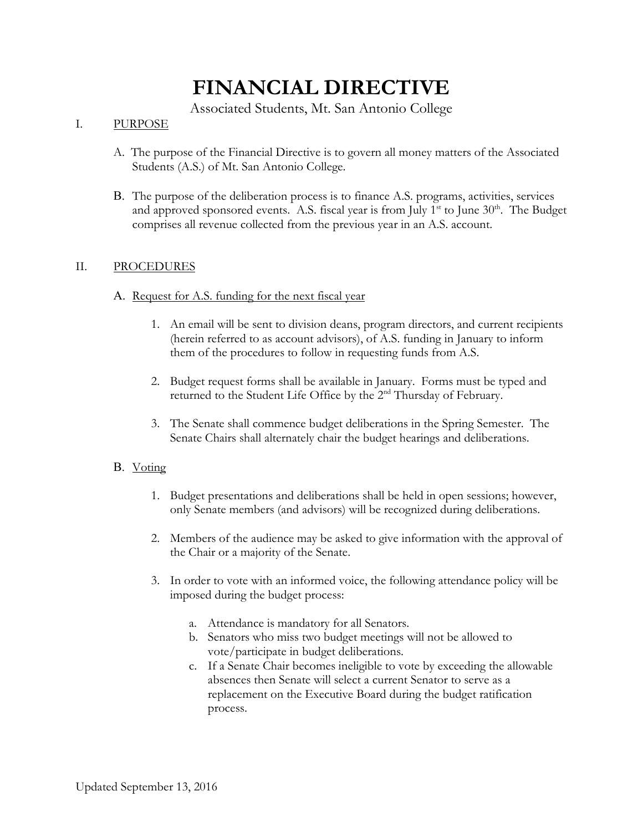# **FINANCIAL DIRECTIVE**

Associated Students, Mt. San Antonio College

## I. PURPOSE

- A. The purpose of the Financial Directive is to govern all money matters of the Associated Students (A.S.) of Mt. San Antonio College.
- B. The purpose of the deliberation process is to finance A.S. programs, activities, services and approved sponsored events. A.S. fiscal year is from July  $1<sup>st</sup>$  to June  $30<sup>th</sup>$ . The Budget comprises all revenue collected from the previous year in an A.S. account.

#### II. PROCEDURES

#### A. Request for A.S. funding for the next fiscal year

- 1. An email will be sent to division deans, program directors, and current recipients (herein referred to as account advisors), of A.S. funding in January to inform them of the procedures to follow in requesting funds from A.S.
- 2. Budget request forms shall be available in January. Forms must be typed and returned to the Student Life Office by the 2nd Thursday of February.
- 3. The Senate shall commence budget deliberations in the Spring Semester. The Senate Chairs shall alternately chair the budget hearings and deliberations.

## B. Voting

- 1. Budget presentations and deliberations shall be held in open sessions; however, only Senate members (and advisors) will be recognized during deliberations.
- 2. Members of the audience may be asked to give information with the approval of the Chair or a majority of the Senate.
- 3. In order to vote with an informed voice, the following attendance policy will be imposed during the budget process:
	- a. Attendance is mandatory for all Senators.
	- b. Senators who miss two budget meetings will not be allowed to vote/participate in budget deliberations.
	- c. If a Senate Chair becomes ineligible to vote by exceeding the allowable absences then Senate will select a current Senator to serve as a replacement on the Executive Board during the budget ratification process.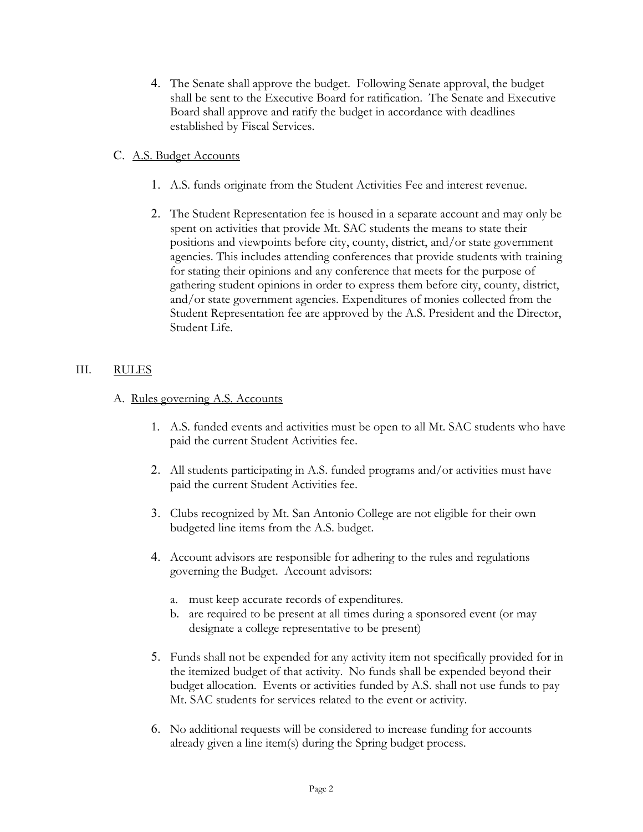4. The Senate shall approve the budget. Following Senate approval, the budget shall be sent to the Executive Board for ratification. The Senate and Executive Board shall approve and ratify the budget in accordance with deadlines established by Fiscal Services.

### C. A.S. Budget Accounts

- 1. A.S. funds originate from the Student Activities Fee and interest revenue.
- 2. The Student Representation fee is housed in a separate account and may only be spent on activities that provide Mt. SAC students the means to state their positions and viewpoints before city, county, district, and/or state government agencies. This includes attending conferences that provide students with training for stating their opinions and any conference that meets for the purpose of gathering student opinions in order to express them before city, county, district, and/or state government agencies. Expenditures of monies collected from the Student Representation fee are approved by the A.S. President and the Director, Student Life.

#### III. RULES

- A. Rules governing A.S. Accounts
	- 1. A.S. funded events and activities must be open to all Mt. SAC students who have paid the current Student Activities fee.
	- 2. All students participating in A.S. funded programs and/or activities must have paid the current Student Activities fee.
	- 3. Clubs recognized by Mt. San Antonio College are not eligible for their own budgeted line items from the A.S. budget.
	- 4. Account advisors are responsible for adhering to the rules and regulations governing the Budget. Account advisors:
		- a. must keep accurate records of expenditures.
		- b. are required to be present at all times during a sponsored event (or may designate a college representative to be present)
	- 5. Funds shall not be expended for any activity item not specifically provided for in the itemized budget of that activity. No funds shall be expended beyond their budget allocation. Events or activities funded by A.S. shall not use funds to pay Mt. SAC students for services related to the event or activity.
	- 6. No additional requests will be considered to increase funding for accounts already given a line item(s) during the Spring budget process.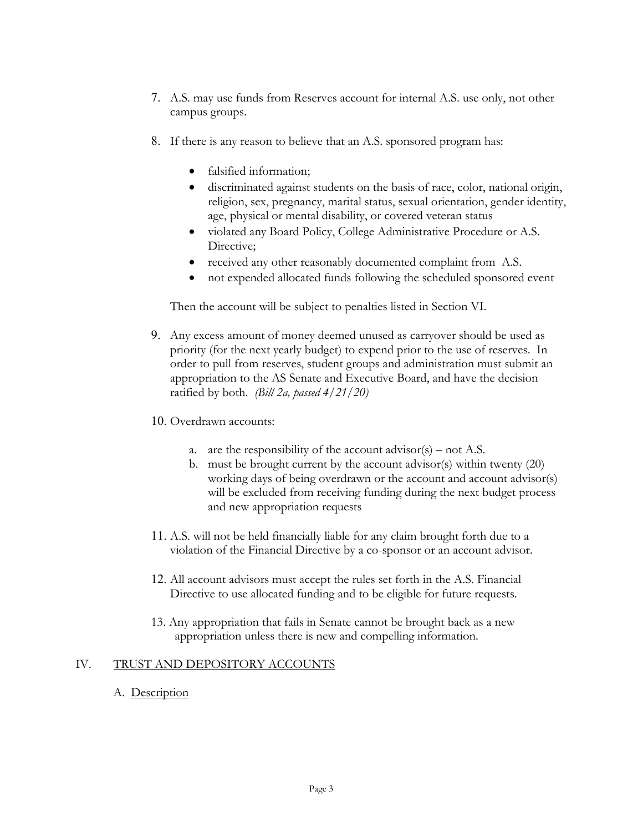- 7. A.S. may use funds from Reserves account for internal A.S. use only, not other campus groups.
- 8. If there is any reason to believe that an A.S. sponsored program has:
	- falsified information;
	- discriminated against students on the basis of race, color, national origin, religion, sex, pregnancy, marital status, sexual orientation, gender identity, age, physical or mental disability, or covered veteran status
	- violated any Board Policy, College Administrative Procedure or A.S. Directive:
	- received any other reasonably documented complaint from A.S.
	- not expended allocated funds following the scheduled sponsored event

Then the account will be subject to penalties listed in Section VI.

- 9. Any excess amount of money deemed unused as carryover should be used as priority (for the next yearly budget) to expend prior to the use of reserves. In order to pull from reserves, student groups and administration must submit an appropriation to the AS Senate and Executive Board, and have the decision ratified by both. *(Bill 2a, passed 4/21/20)*
- 10. Overdrawn accounts:
	- a. are the responsibility of the account  $\text{advisor}(s) \text{not } A.S.$
	- b. must be brought current by the account advisor(s) within twenty (20) working days of being overdrawn or the account and account advisor(s) will be excluded from receiving funding during the next budget process and new appropriation requests
- 11. A.S. will not be held financially liable for any claim brought forth due to a violation of the Financial Directive by a co-sponsor or an account advisor.
- 12. All account advisors must accept the rules set forth in the A.S. Financial Directive to use allocated funding and to be eligible for future requests.
- 13. Any appropriation that fails in Senate cannot be brought back as a new appropriation unless there is new and compelling information.

#### IV. TRUST AND DEPOSITORY ACCOUNTS

A. Description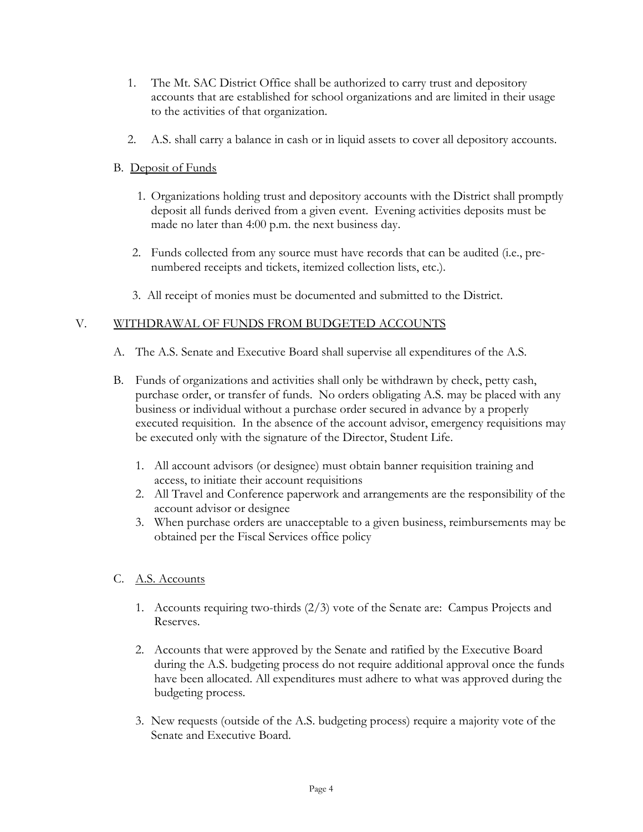- 1. The Mt. SAC District Office shall be authorized to carry trust and depository accounts that are established for school organizations and are limited in their usage to the activities of that organization.
- 2. A.S. shall carry a balance in cash or in liquid assets to cover all depository accounts.

### B. Deposit of Funds

- 1. Organizations holding trust and depository accounts with the District shall promptly deposit all funds derived from a given event. Evening activities deposits must be made no later than 4:00 p.m. the next business day.
- 2. Funds collected from any source must have records that can be audited (i.e., prenumbered receipts and tickets, itemized collection lists, etc.).
- 3. All receipt of monies must be documented and submitted to the District.

#### V. WITHDRAWAL OF FUNDS FROM BUDGETED ACCOUNTS

- A. The A.S. Senate and Executive Board shall supervise all expenditures of the A.S.
- B. Funds of organizations and activities shall only be withdrawn by check, petty cash, purchase order, or transfer of funds. No orders obligating A.S. may be placed with any business or individual without a purchase order secured in advance by a properly executed requisition. In the absence of the account advisor, emergency requisitions may be executed only with the signature of the Director, Student Life.
	- 1. All account advisors (or designee) must obtain banner requisition training and access, to initiate their account requisitions
	- 2. All Travel and Conference paperwork and arrangements are the responsibility of the account advisor or designee
	- 3. When purchase orders are unacceptable to a given business, reimbursements may be obtained per the Fiscal Services office policy
- C. A.S. Accounts
	- 1. Accounts requiring two-thirds (2/3) vote of the Senate are: Campus Projects and Reserves.
	- 2. Accounts that were approved by the Senate and ratified by the Executive Board during the A.S. budgeting process do not require additional approval once the funds have been allocated. All expenditures must adhere to what was approved during the budgeting process.
	- 3. New requests (outside of the A.S. budgeting process) require a majority vote of the Senate and Executive Board.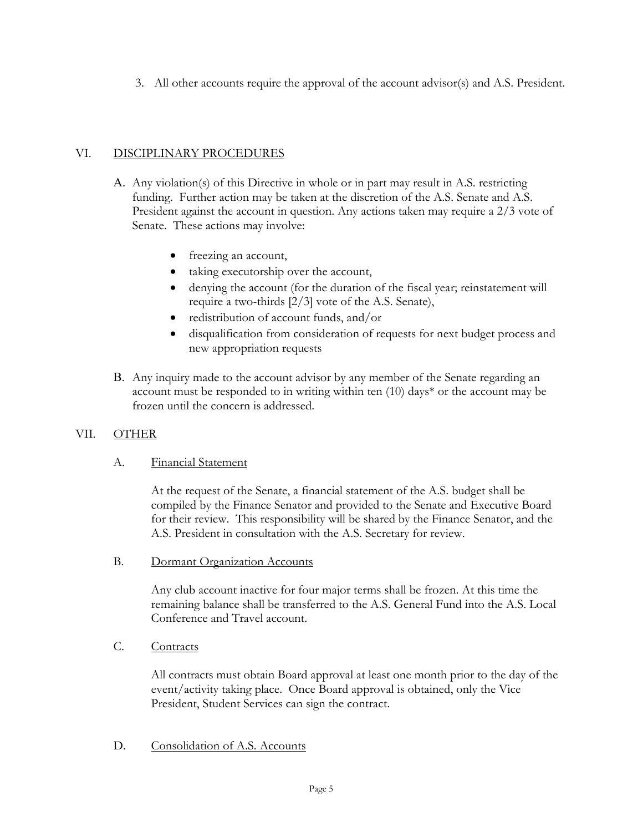3. All other accounts require the approval of the account advisor(s) and A.S. President.

#### VI. DISCIPLINARY PROCEDURES

- A. Any violation(s) of this Directive in whole or in part may result in A.S. restricting funding. Further action may be taken at the discretion of the A.S. Senate and A.S. President against the account in question. Any actions taken may require a 2/3 vote of Senate. These actions may involve:
	- freezing an account,
	- taking executorship over the account,
	- denying the account (for the duration of the fiscal year; reinstatement will require a two-thirds [2/3] vote of the A.S. Senate),
	- redistribution of account funds, and/or
	- disqualification from consideration of requests for next budget process and new appropriation requests
- B. Any inquiry made to the account advisor by any member of the Senate regarding an account must be responded to in writing within ten (10) days\* or the account may be frozen until the concern is addressed.

## VII. OTHER

#### A. Financial Statement

At the request of the Senate, a financial statement of the A.S. budget shall be compiled by the Finance Senator and provided to the Senate and Executive Board for their review. This responsibility will be shared by the Finance Senator, and the A.S. President in consultation with the A.S. Secretary for review.

B. Dormant Organization Accounts

Any club account inactive for four major terms shall be frozen. At this time the remaining balance shall be transferred to the A.S. General Fund into the A.S. Local Conference and Travel account.

C. Contracts

All contracts must obtain Board approval at least one month prior to the day of the event/activity taking place. Once Board approval is obtained, only the Vice President, Student Services can sign the contract.

D. Consolidation of A.S. Accounts